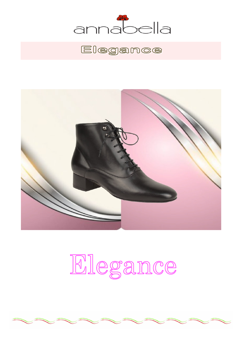

## Elegance



# Elegance

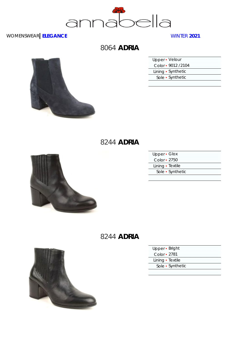

8064 **ADRIA**

| Upper · Velour |                     |
|----------------|---------------------|
|                | Color - 9012 / 2104 |
|                | Lining • Synthetic  |
|                | Sole • Synthetic    |
|                |                     |





| Upper - Glox     |                  |
|------------------|------------------|
| Color • 2750     |                  |
| Lining · Textile |                  |
|                  | Sole • Synthetic |
|                  |                  |

#### 8244 **ADRIA**



| Upper - Bright   |                  |
|------------------|------------------|
| Color • 2781     |                  |
| Lining · Textile |                  |
|                  | Sole • Synthetic |
|                  |                  |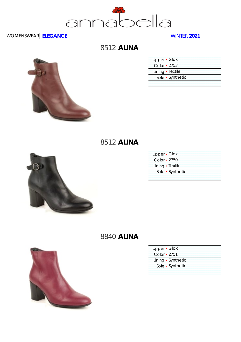

8512 **ALINA**

| Upper • Glox     |  |
|------------------|--|
| Color - 2753     |  |
| Lining · Textile |  |
| Sole • Synthetic |  |
|                  |  |

#### 8512 **ALINA**



| Upper · Glox     |                  |
|------------------|------------------|
| Color - 2750     |                  |
| Lining · Textile |                  |
|                  | Sole • Synthetic |
|                  |                  |

### 8840 **ALINA**



| $Upper \cdot Glox$ |  |
|--------------------|--|
| Color - 2751       |  |
| Lining • Synthetic |  |
| Sole • Synthetic   |  |
|                    |  |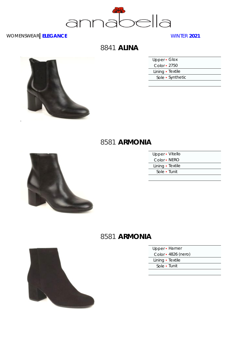

 $\bar{1}$ 

8841 **ALINA**

| Upper • Glox     |  |
|------------------|--|
| Color - 2750     |  |
| Lining · Textile |  |
| Sole • Synthetic |  |
|                  |  |

#### 8581 **ARMONIA**



| Upper - Vitello  |  |
|------------------|--|
| Color - NERO     |  |
| Lining • Textile |  |
| Sole • Tunit     |  |
|                  |  |

#### 8581 **ARMONIA**



| Upper • Hamer |  |
|---------------|--|
|---------------|--|

Color ▪ 4826 (nero)

Lining • Textile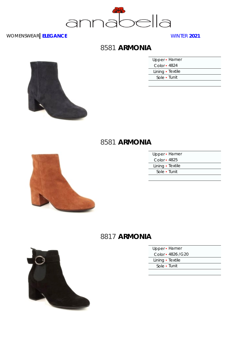

#### 8581 **ARMONIA**

| Upper • Hamer    |  |
|------------------|--|
| Color - 4824     |  |
| Lining • Textile |  |
| Sole • Tunit     |  |
|                  |  |





| Upper - Hamer      |  |
|--------------------|--|
| Color $\cdot$ 4825 |  |
| Lining · Textile   |  |
| Sole • Tunit       |  |
|                    |  |

#### 8817 **ARMONIA**



| Upper • Hamer |  |
|---------------|--|
|---------------|--|

Color ▪ 4826 /G20

Lining • Textile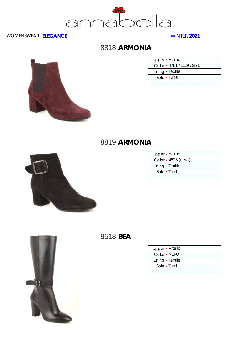

#### 8818 **ARMONIA**

| Upper • Hamer             |  |
|---------------------------|--|
| Color - 4781 / EL29 / G21 |  |
| Lining · Textile          |  |
| Sole - Tunit              |  |
|                           |  |





| Upper · Hamer       |  |
|---------------------|--|
| Color • 4826 (nero) |  |
| Lining · Textile    |  |
| Sole • Tunit        |  |
|                     |  |



### 8618 **BEA**

| Upper · Vitello  |
|------------------|
| Color - NERO     |
| Lining · Textile |
| Sole - Tunit     |
|                  |

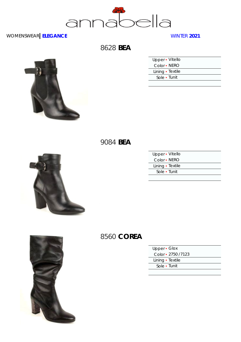

8628 **BEA**

| Upper · Vitello  |  |
|------------------|--|
| Color • NERO     |  |
| Lining · Textile |  |
| Sole • Tunit     |  |
|                  |  |





| Upper - Vitello  |  |
|------------------|--|
| Color • NERO     |  |
| Lining · Textile |  |
| Sole - Tunit     |  |
|                  |  |

#### 8560 **COREA**

| Upper · Glox        |  |
|---------------------|--|
| Color • 2750 / 7123 |  |
| Lining · Textile    |  |
| Sole • Tunit        |  |
|                     |  |

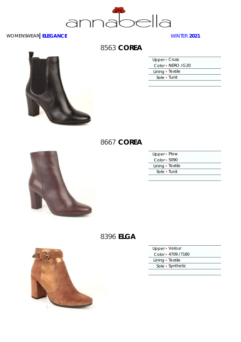



#### 8563 **COREA**

| Upper • Cruss    |                    |
|------------------|--------------------|
|                  | Color - NERO / G20 |
| Lining · Textile |                    |
| Sole • Tunit     |                    |
|                  |                    |

#### 8667 **COREA**



| Upper - Plow     |  |
|------------------|--|
| Color - 5090     |  |
| Lining · Textile |  |
| Sole • Tunit     |  |
|                  |  |

#### 8396 **ELGA**



| Upper • Velour |  |
|----------------|--|
|----------------|--|

Color ▪ 4709 /7180

Lining • Textile

Sole ▪ Synthetic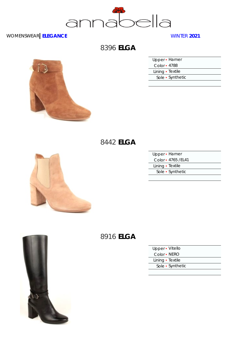

8396 **ELGA**

| Upper · Hamer    |  |
|------------------|--|
| Color - 4788     |  |
| Lining · Textile |  |
| Sole • Synthetic |  |
|                  |  |





| Upper - Hamer       |
|---------------------|
| Color - 4765 / EL41 |
| Lining • Textile    |
| Sole • Synthetic    |
|                     |



| Upper • Vitello  |  |
|------------------|--|
| Color • NERO     |  |
| Lining • Textile |  |
| Sole • Synthetic |  |

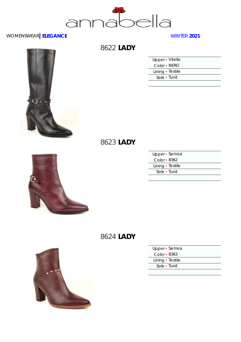

#### 8622 **LADY**

| Upper - Vitello  |  |  |
|------------------|--|--|
| Color - NERO     |  |  |
| Lining · Textile |  |  |
| Sole - Tunit     |  |  |
|                  |  |  |



#### 8623 **LADY**



| Upper · Samoa    |  |
|------------------|--|
| Color - 8362     |  |
| Lining · Textile |  |
| Sole • Tunit     |  |
|                  |  |

#### 8624 **LADY**



| Upper · Samoa      |  |
|--------------------|--|
| Color $\cdot$ 8363 |  |
| Lining · Textile   |  |
| Sole - Tunit       |  |
|                    |  |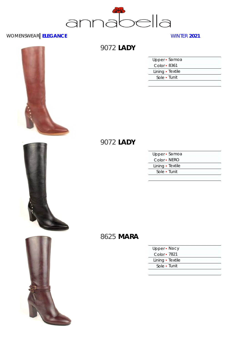

#### 9072 **LADY**

| Upper · Samoa    |  |
|------------------|--|
| Color • 8361     |  |
| Lining · Textile |  |
| Sole • Tunit     |  |
|                  |  |







| Upper · Samoa    |  |
|------------------|--|
| Color • NERO     |  |
| Lining · Textile |  |
| Sole • Tunit     |  |
|                  |  |

#### 8625 **MARA**

| Upper • Nacy     |  |
|------------------|--|
| Color • 7821     |  |
| Lining · Textile |  |
| Sole - Tunit     |  |
|                  |  |

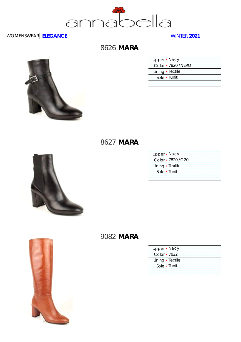

#### 8626 **MARA**

| Upper • Nacy     |                    |
|------------------|--------------------|
|                  | Color - 7820 /NERO |
| Lining · Textile |                    |
| Sole • Tunit     |                    |
|                  |                    |





| Upper - Nacy     |                    |
|------------------|--------------------|
|                  | Color - 7820 / G20 |
| Lining · Textile |                    |
| Sole • Tunit     |                    |
|                  |                    |

#### 9082 **MARA**

| Upper - Nacy     |  |
|------------------|--|
| Color • 7822     |  |
| Lining • Textile |  |
| Sole • Tunit     |  |
|                  |  |

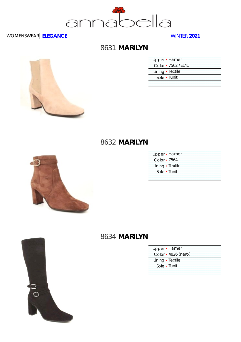

#### 8631 **MARILYN**

| Upper • Hamer       |
|---------------------|
| Color - 7562 / EL41 |
| Lining · Textile    |
| Sole • Tunit        |
|                     |





| Upper · Hamer    |  |
|------------------|--|
| Color • 7564     |  |
| Lining · Textile |  |
| Sole • Tunit     |  |
|                  |  |

#### 8634 **MARILYN**

| Upper · Hamer |  |
|---------------|--|
| $\sim$ $\sim$ |  |

Color ▪ 4826 (nero)

Lining • Textile

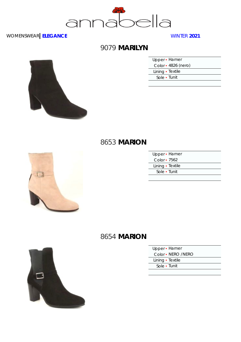

#### 9079 **MARILYN**

| Upper · Hamer    |                     |
|------------------|---------------------|
|                  | Color - 4826 (nero) |
| Lining · Textile |                     |
| Sole - Tunit     |                     |
|                  |                     |





| Upper · Hamer    |  |
|------------------|--|
| Color • 7562     |  |
| Lining · Textile |  |
| Sole • Tunit     |  |
|                  |  |

#### 8654 **MARION**



| Upper • Hamer |  |
|---------------|--|
|---------------|--|

Color ▪ NERO /NERO

Lining • Textile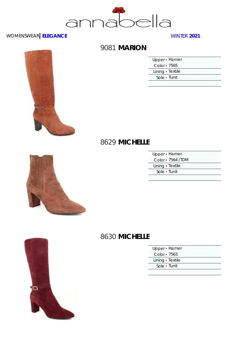



### 9081 **MARION**

| Upper • Hamer    |  |
|------------------|--|
| Color - 7565     |  |
| Lining · Textile |  |
| Sole • Tunit     |  |
|                  |  |

### 8629 **MICHELLE**



| Upper · Hamer      |  |
|--------------------|--|
| Color - 7564 / TDM |  |
| Lining • Textile   |  |
| Sole - Tunit       |  |
|                    |  |

#### 8630 **MICHELLE**

| Upper - Hamer    |  |
|------------------|--|
| Color • 7563     |  |
| Lining · Textile |  |
| Sole - Tunit     |  |
|                  |  |

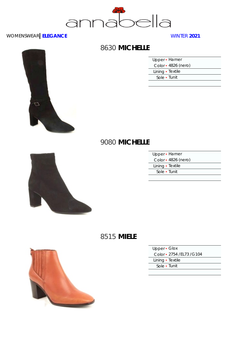



### 8630 **MICHELLE**

| Upper • Hamer       |
|---------------------|
| Color - 4826 (nero) |
| Lining • Textile    |
| Sole • Tunit        |
|                     |

### 9080 **MICHELLE**



| Upper · Hamer       |  |
|---------------------|--|
| Color • 4826 (nero) |  |
| Lining • Textile    |  |
| Sole • Tunit        |  |
|                     |  |

### 8515 **MIELE**



| Upper • Glox               |  |
|----------------------------|--|
| Color - 2754 / EL73 / G104 |  |
| Lining · Textile           |  |
| Sole - Tunit               |  |
|                            |  |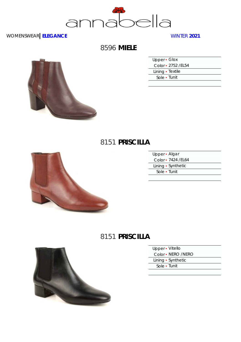

8596 **MIELE**

| Upper $\cdot$ Glox  |
|---------------------|
| Color - 2752 / EL54 |
| Lining · Textile    |
| Sole • Tunit        |
|                     |

#### 8151 **PRISCILLA**



| Upper - Algar       |
|---------------------|
| Color - 7424 / EL64 |
| Lining • Synthetic  |
| Sole • Tunit        |
|                     |

### 8151 **PRISCILLA**



|  | Upper • Vitello |  |  |
|--|-----------------|--|--|
|  |                 |  |  |

Color ▪ NERO /NERO

Lining • Synthetic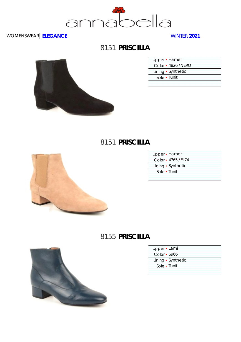

#### 8151 **PRISCILLA**



| Upper • Hamer      |  |
|--------------------|--|
| Color - 4826 /NERO |  |
| Lining • Synthetic |  |
| Sole • Tunit       |  |
|                    |  |

#### 8151 **PRISCILLA**



| Upper - Hamer       |  |
|---------------------|--|
| Color - 4765 / EL74 |  |
| Lining • Synthetic  |  |
| Sole • Tunit        |  |
|                     |  |

### 8155 **PRISCILLA**



| Upper · Lami |  |
|--------------|--|
|--------------|--|

- Color 6966 Lining • Synthetic
- Sole Tunit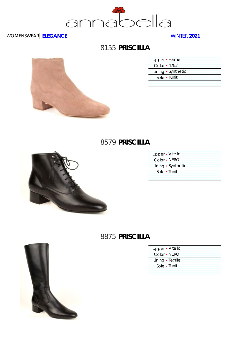

### 8155 **PRISCILLA**



|              | Upper - Hamer      |
|--------------|--------------------|
| Color - 4783 |                    |
|              | Lining • Synthetic |
|              | Sole • Tunit       |
|              |                    |

#### 8579 **PRISCILLA**



| Upper - Vitello    |  |
|--------------------|--|
| Color - NERO       |  |
| Lining • Synthetic |  |
| Sole • Tunit       |  |
|                    |  |

#### 8875 **PRISCILLA**

| Upper - Vitello  |  |
|------------------|--|
| Color - NERO     |  |
| Lining · Textile |  |
| Sole - Tunit     |  |
|                  |  |